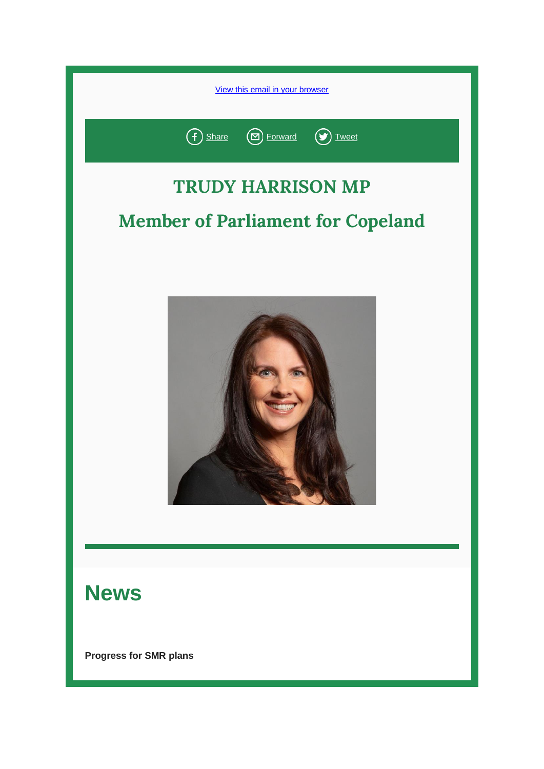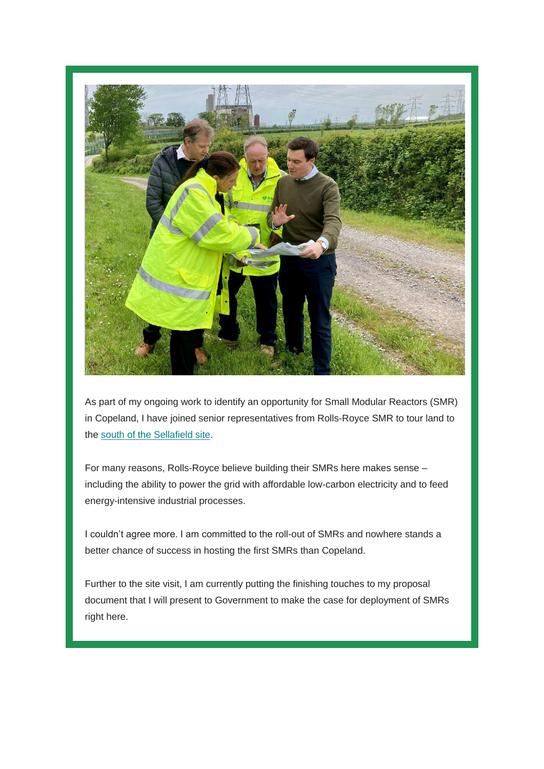

As part of my ongoing work to identify an opportunity for Small Modular Reactors (SMR) in Copeland, I have joined senior representatives from Rolls-Royce SMR to tour land to the [south of the Sellafield site.](https://protect-eu.mimecast.com/s/f0dKCOM3rcpN2n2QTj6aF-?domain=trudyharrison.us16.list-manage.com)

For many reasons, Rolls-Royce believe building their SMRs here makes sense – including the ability to power the grid with affordable low-carbon electricity and to feed energy-intensive industrial processes.

I couldn't agree more. I am committed to the roll-out of SMRs and nowhere stands a better chance of success in hosting the first SMRs than Copeland.

Further to the site visit, I am currently putting the finishing touches to my proposal document that I will present to Government to make the case for deployment of SMRs right here.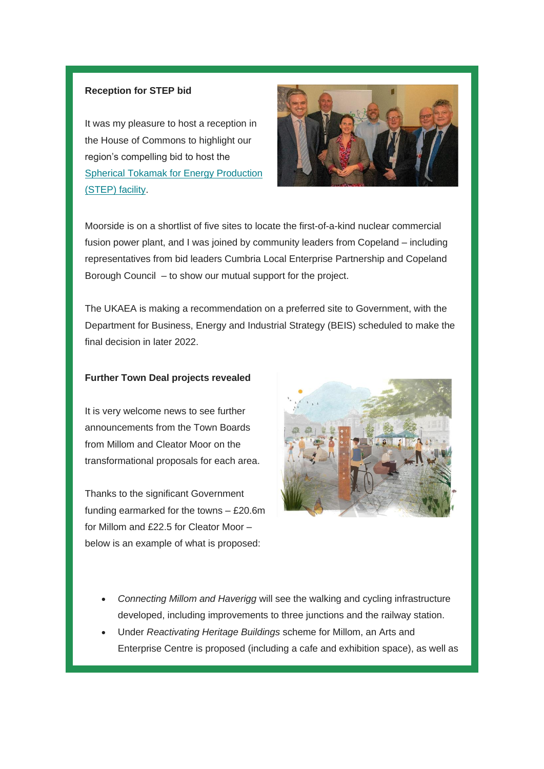#### **Reception for STEP bid**

It was my pleasure to host a reception in the House of Commons to highlight our region's compelling bid to host the [Spherical Tokamak for Energy Production](https://protect-eu.mimecast.com/s/IW68CP73vFK05W5VTm8MjT?domain=trudyharrison.us16.list-manage.com)  [\(STEP\) facility.](https://protect-eu.mimecast.com/s/IW68CP73vFK05W5VTm8MjT?domain=trudyharrison.us16.list-manage.com)



Moorside is on a shortlist of five sites to locate the first-of-a-kind nuclear commercial fusion power plant, and I was joined by community leaders from Copeland – including representatives from bid leaders Cumbria Local Enterprise Partnership and Copeland Borough Council – to show our mutual support for the project.

The UKAEA is making a recommendation on a preferred site to Government, with the Department for Business, Energy and Industrial Strategy (BEIS) scheduled to make the final decision in later 2022.

#### **Further Town Deal projects revealed**

It is very welcome news to see further announcements from the Town Boards from Millom and Cleator Moor on the transformational proposals for each area.

Thanks to the significant Government funding earmarked for the towns – £20.6m for Millom and £22.5 for Cleator Moor – below is an example of what is proposed:



- *Connecting Millom and Haverigg* will see the walking and cycling infrastructure developed, including improvements to three junctions and the railway station.
- Under *Reactivating Heritage Buildings* scheme for Millom, an Arts and Enterprise Centre is proposed (including a cafe and exhibition space), as well as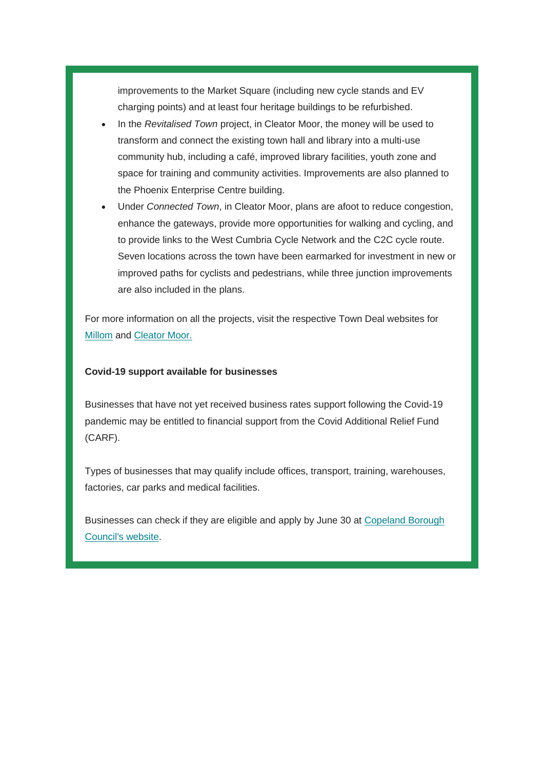improvements to the Market Square (including new cycle stands and EV charging points) and at least four heritage buildings to be refurbished.

- In the *Revitalised Town* project, in Cleator Moor, the money will be used to transform and connect the existing town hall and library into a multi-use community hub, including a café, improved library facilities, youth zone and space for training and community activities. Improvements are also planned to the Phoenix Enterprise Centre building.
- Under *Connected Town*, in Cleator Moor, plans are afoot to reduce congestion, enhance the gateways, provide more opportunities for walking and cycling, and to provide links to the West Cumbria Cycle Network and the C2C cycle route. Seven locations across the town have been earmarked for investment in new or improved paths for cyclists and pedestrians, while three junction improvements are also included in the plans.

For more information on all the projects, visit the respective Town Deal websites for [Millom](https://protect-eu.mimecast.com/s/WOT3CQn9wCkXNONZFOsJrm?domain=trudyharrison.us16.list-manage.com) and [Cleator Moor.](https://protect-eu.mimecast.com/s/PoDqCRO3xsvGgEgZiEmaWW?domain=trudyharrison.us16.list-manage.com)

#### **Covid-19 support available for businesses**

Businesses that have not yet received business rates support following the Covid-19 pandemic may be entitled to financial support from the Covid Additional Relief Fund (CARF).

Types of businesses that may qualify include offices, transport, training, warehouses, factories, car parks and medical facilities.

Businesses can check if they are eligible and apply by June 30 at [Copeland Borough](https://protect-eu.mimecast.com/s/A_xwCVA3BFx2P3PQFNBGl9?domain=trudyharrison.us16.list-manage.com)  [Council's website.](https://protect-eu.mimecast.com/s/A_xwCVA3BFx2P3PQFNBGl9?domain=trudyharrison.us16.list-manage.com)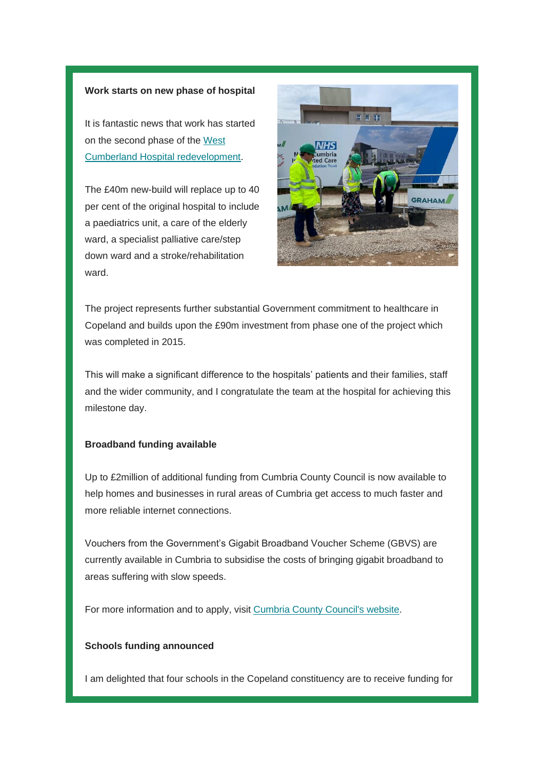#### **Work starts on new phase of hospital**

It is fantastic news that work has started on the second phase of the [West](https://protect-eu.mimecast.com/s/UsKMCWL3Di56yOyoIJd7SR?domain=trudyharrison.us16.list-manage.com)  [Cumberland Hospital redevelopment.](https://protect-eu.mimecast.com/s/UsKMCWL3Di56yOyoIJd7SR?domain=trudyharrison.us16.list-manage.com)

The £40m new-build will replace up to 40 per cent of the original hospital to include a paediatrics unit, a care of the elderly ward, a specialist palliative care/step down ward and a stroke/rehabilitation ward.



The project represents further substantial Government commitment to healthcare in Copeland and builds upon the £90m investment from phase one of the project which was completed in 2015.

This will make a significant difference to the hospitals' patients and their families, staff and the wider community, and I congratulate the team at the hospital for achieving this milestone day.

#### **Broadband funding available**

Up to £2million of additional funding from Cumbria County Council is now available to help homes and businesses in rural areas of Cumbria get access to much faster and more reliable internet connections.

Vouchers from the Government's Gigabit Broadband Voucher Scheme (GBVS) are currently available in Cumbria to subsidise the costs of bringing gigabit broadband to areas suffering with slow speeds.

For more information and to apply, visit [Cumbria County Council's website.](https://protect-eu.mimecast.com/s/rDMjCXL8EiX4M2MruXD1ED?domain=trudyharrison.us16.list-manage.com)

#### **Schools funding announced**

I am delighted that four schools in the Copeland constituency are to receive funding for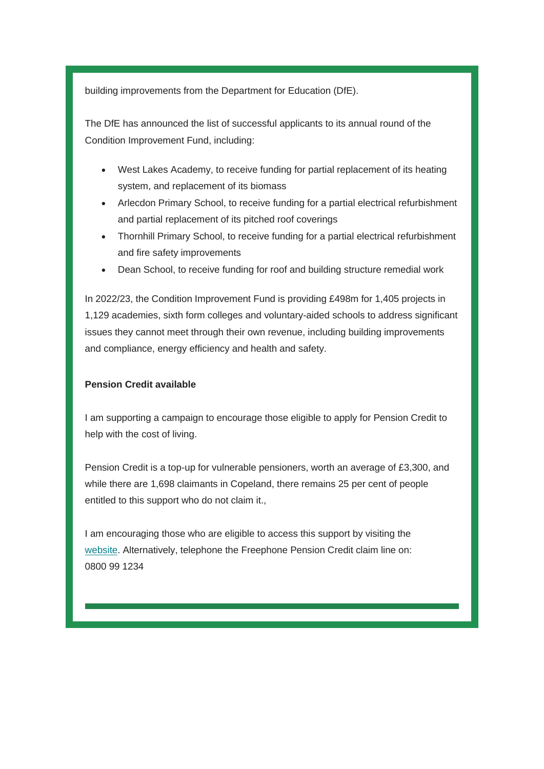building improvements from the Department for Education (DfE).

The DfE has announced the list of successful applicants to its annual round of the Condition Improvement Fund, including:

- West Lakes Academy, to receive funding for partial replacement of its heating system, and replacement of its biomass
- Arlecdon Primary School, to receive funding for a partial electrical refurbishment and partial replacement of its pitched roof coverings
- Thornhill Primary School, to receive funding for a partial electrical refurbishment and fire safety improvements
- Dean School, to receive funding for roof and building structure remedial work

In 2022/23, the Condition Improvement Fund is providing £498m for 1,405 projects in 1,129 academies, sixth form colleges and voluntary-aided schools to address significant issues they cannot meet through their own revenue, including building improvements and compliance, energy efficiency and health and safety.

#### **Pension Credit available**

I am supporting a campaign to encourage those eligible to apply for Pension Credit to help with the cost of living.

Pension Credit is a top-up for vulnerable pensioners, worth an average of £3,300, and while there are 1,698 claimants in Copeland, there remains 25 per cent of people entitled to this support who do not claim it.,

I am encouraging those who are eligible to access this support by visiting the [website.](https://protect-eu.mimecast.com/s/yb3DCYW3GFLD6M6BIzN4-k?domain=trudyharrison.us16.list-manage.com) Alternatively, telephone the Freephone Pension Credit claim line on: 0800 99 1234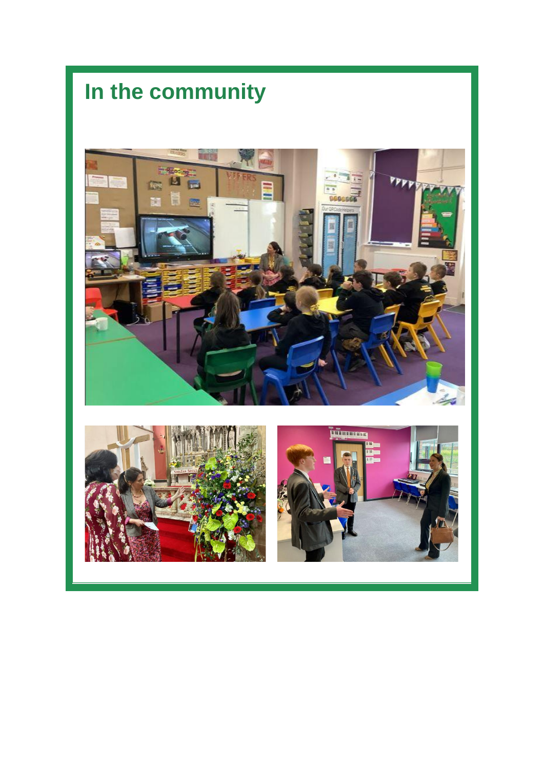# **In the community**



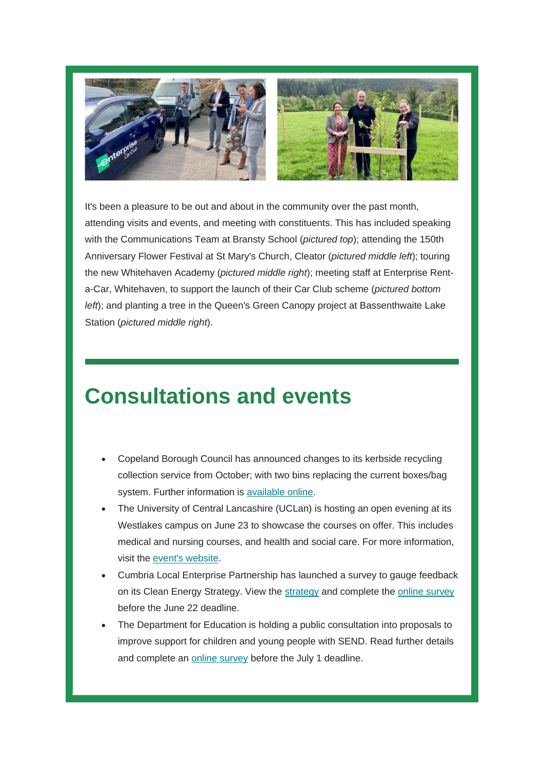

It's been a pleasure to be out and about in the community over the past month, attending visits and events, and meeting with constituents. This has included speaking with the Communications Team at Bransty School (*pictured top*); attending the 150th Anniversary Flower Festival at St Mary's Church, Cleator (*pictured middle left*); touring the new Whitehaven Academy (*pictured middle right*); meeting staff at Enterprise Renta-Car, Whitehaven, to support the launch of their Car Club scheme (*pictured bottom left*); and planting a tree in the Queen's Green Canopy project at Bassenthwaite Lake Station (*pictured middle right*).

# **Consultations and events**

- Copeland Borough Council has announced changes to its kerbside recycling collection service from October; with two bins replacing the current boxes/bag system. Further information is [available online.](https://protect-eu.mimecast.com/s/qGwZCZY7Jt57oloBIEanHR?domain=trudyharrison.us16.list-manage.com)
- The University of Central Lancashire (UCLan) is hosting an open evening at its Westlakes campus on June 23 to showcase the courses on offer. This includes medical and nursing courses, and health and social care. For more information, visit the [event's website.](https://protect-eu.mimecast.com/s/Nya6C1WJ8FM6E3EWu3eZ3p?domain=trudyharrison.us16.list-manage.com)
- Cumbria Local Enterprise Partnership has launched a survey to gauge feedback on its Clean Energy Strategy. View the [strategy](https://protect-eu.mimecast.com/s/njnGC2xK5CpVE1EyTObzdL?domain=trudyharrison.us16.list-manage.com) and complete the [online survey](https://protect-eu.mimecast.com/s/_u_OC3QL5hpXRqRNT6UalY?domain=trudyharrison.us16.list-manage.com) before the June 22 deadline.
- The Department for Education is holding a public consultation into proposals to improve support for children and young people with SEND. Read further details and complete an [online survey](https://protect-eu.mimecast.com/s/AeDUC4QM7hBz7g7kuJgqBX?domain=trudyharrison.us16.list-manage.com) before the July 1 deadline.